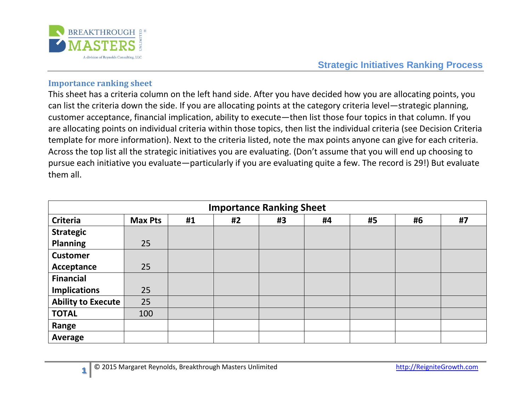

**Strategic Initiatives Ranking Process**

## **Importance ranking sheet**

**1**

This sheet has a criteria column on the left hand side. After you have decided how you are allocating points, you can list the criteria down the side. If you are allocating points at the category criteria level—strategic planning, customer acceptance, financial implication, ability to execute—then list those four topics in that column. If you are allocating points on individual criteria within those topics, then list the individual criteria (see Decision Criteria template for more information). Next to the criteria listed, note the max points anyone can give for each criteria. Across the top list all the strategic initiatives you are evaluating. (Don't assume that you will end up choosing to pursue each initiative you evaluate—particularly if you are evaluating quite a few. The record is 29!) But evaluate them all.

| <b>Importance Ranking Sheet</b> |                |    |    |    |    |    |    |    |  |
|---------------------------------|----------------|----|----|----|----|----|----|----|--|
| <b>Criteria</b>                 | <b>Max Pts</b> | #1 | #2 | #3 | #4 | #5 | #6 | #7 |  |
| <b>Strategic</b>                |                |    |    |    |    |    |    |    |  |
| <b>Planning</b>                 | 25             |    |    |    |    |    |    |    |  |
| <b>Customer</b>                 |                |    |    |    |    |    |    |    |  |
| Acceptance                      | 25             |    |    |    |    |    |    |    |  |
| <b>Financial</b>                |                |    |    |    |    |    |    |    |  |
| <b>Implications</b>             | 25             |    |    |    |    |    |    |    |  |
| Ability to Execute              | 25             |    |    |    |    |    |    |    |  |
| <b>TOTAL</b>                    | 100            |    |    |    |    |    |    |    |  |
| Range                           |                |    |    |    |    |    |    |    |  |
| Average                         |                |    |    |    |    |    |    |    |  |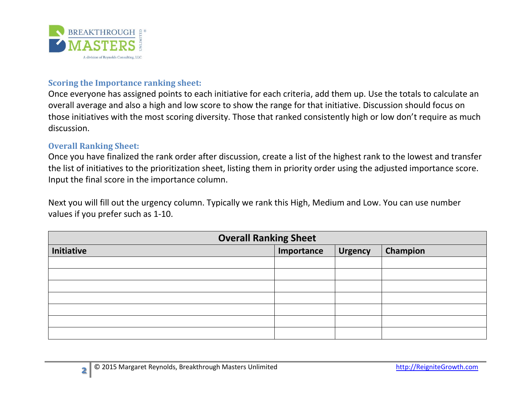

## **Scoring the Importance ranking sheet:**

Once everyone has assigned points to each initiative for each criteria, add them up. Use the totals to calculate an overall average and also a high and low score to show the range for that initiative. Discussion should focus on those initiatives with the most scoring diversity. Those that ranked consistently high or low don't require as much discussion.

## **Overall Ranking Sheet:**

Once you have finalized the rank order after discussion, create a list of the highest rank to the lowest and transfer the list of initiatives to the prioritization sheet, listing them in priority order using the adjusted importance score. Input the final score in the importance column.

Next you will fill out the urgency column. Typically we rank this High, Medium and Low. You can use number values if you prefer such as 1-10.

| <b>Overall Ranking Sheet</b> |            |                |          |  |  |  |  |
|------------------------------|------------|----------------|----------|--|--|--|--|
| Initiative                   | Importance | <b>Urgency</b> | Champion |  |  |  |  |
|                              |            |                |          |  |  |  |  |
|                              |            |                |          |  |  |  |  |
|                              |            |                |          |  |  |  |  |
|                              |            |                |          |  |  |  |  |
|                              |            |                |          |  |  |  |  |
|                              |            |                |          |  |  |  |  |
|                              |            |                |          |  |  |  |  |